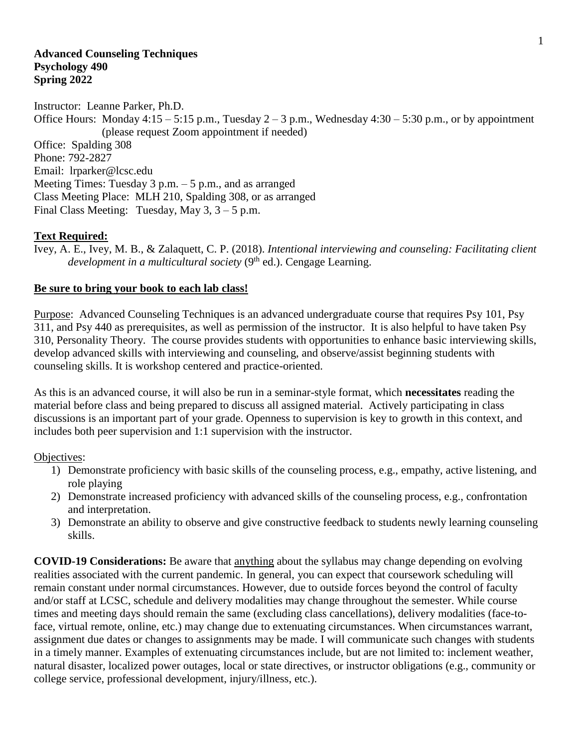#### **Advanced Counseling Techniques Psychology 490 Spring 2022**

Instructor: Leanne Parker, Ph.D. Office Hours: Monday  $4:15 - 5:15$  p.m., Tuesday  $2 - 3$  p.m., Wednesday  $4:30 - 5:30$  p.m., or by appointment (please request Zoom appointment if needed) Office: Spalding 308 Phone: 792-2827 Email: lrparker@lcsc.edu Meeting Times: Tuesday  $3$  p.m.  $-5$  p.m., and as arranged Class Meeting Place: MLH 210, Spalding 308, or as arranged Final Class Meeting: Tuesday, May 3, 3 – 5 p.m.

### **Text Required:**

Ivey, A. E., Ivey, M. B., & Zalaquett, C. P. (2018). *Intentional interviewing and counseling: Facilitating client*  development in a multicultural society (9<sup>th</sup> ed.). Cengage Learning.

### **Be sure to bring your book to each lab class!**

Purpose: Advanced Counseling Techniques is an advanced undergraduate course that requires Psy 101, Psy 311, and Psy 440 as prerequisites, as well as permission of the instructor. It is also helpful to have taken Psy 310, Personality Theory. The course provides students with opportunities to enhance basic interviewing skills, develop advanced skills with interviewing and counseling, and observe/assist beginning students with counseling skills. It is workshop centered and practice-oriented.

As this is an advanced course, it will also be run in a seminar-style format, which **necessitates** reading the material before class and being prepared to discuss all assigned material. Actively participating in class discussions is an important part of your grade. Openness to supervision is key to growth in this context, and includes both peer supervision and 1:1 supervision with the instructor.

Objectives:

- 1) Demonstrate proficiency with basic skills of the counseling process, e.g., empathy, active listening, and role playing
- 2) Demonstrate increased proficiency with advanced skills of the counseling process, e.g., confrontation and interpretation.
- 3) Demonstrate an ability to observe and give constructive feedback to students newly learning counseling skills.

**COVID-19 Considerations:** Be aware that anything about the syllabus may change depending on evolving realities associated with the current pandemic. In general, you can expect that coursework scheduling will remain constant under normal circumstances. However, due to outside forces beyond the control of faculty and/or staff at LCSC, schedule and delivery modalities may change throughout the semester. While course times and meeting days should remain the same (excluding class cancellations), delivery modalities (face-toface, virtual remote, online, etc.) may change due to extenuating circumstances. When circumstances warrant, assignment due dates or changes to assignments may be made. I will communicate such changes with students in a timely manner. Examples of extenuating circumstances include, but are not limited to: inclement weather, natural disaster, localized power outages, local or state directives, or instructor obligations (e.g., community or college service, professional development, injury/illness, etc.).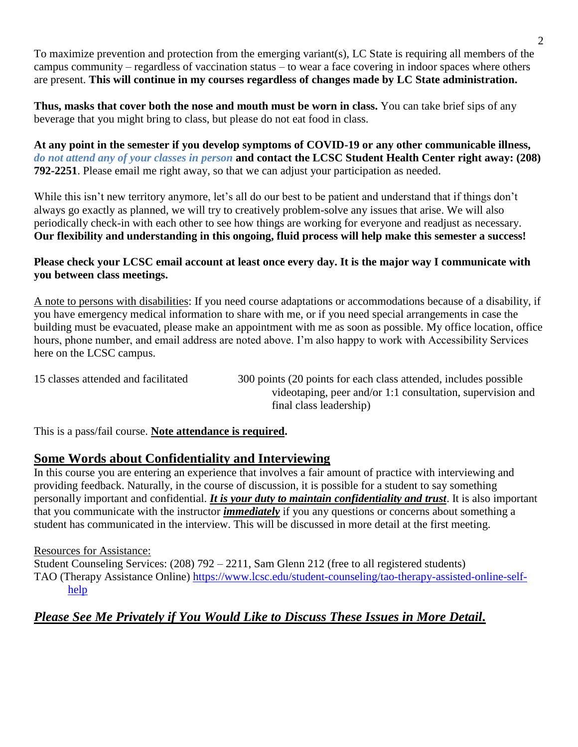To maximize prevention and protection from the emerging variant(s), LC State is requiring all members of the campus community – regardless of vaccination status – to wear a face covering in indoor spaces where others are present. **This will continue in my courses regardless of changes made by LC State administration.**

**Thus, masks that cover both the nose and mouth must be worn in class.** You can take brief sips of any beverage that you might bring to class, but please do not eat food in class.

**At any point in the semester if you develop symptoms of COVID-19 or any other communicable illness,**  *do not attend any of your classes in person* **and contact the LCSC Student Health Center right away: (208) 792-2251**. Please email me right away, so that we can adjust your participation as needed.

While this isn't new territory anymore, let's all do our best to be patient and understand that if things don't always go exactly as planned, we will try to creatively problem-solve any issues that arise. We will also periodically check-in with each other to see how things are working for everyone and readjust as necessary. **Our flexibility and understanding in this ongoing, fluid process will help make this semester a success!**

## **Please check your LCSC email account at least once every day. It is the major way I communicate with you between class meetings.**

A note to persons with disabilities: If you need course adaptations or accommodations because of a disability, if you have emergency medical information to share with me, or if you need special arrangements in case the building must be evacuated, please make an appointment with me as soon as possible. My office location, office hours, phone number, and email address are noted above. I'm also happy to work with Accessibility Services here on the LCSC campus.

15 classes attended and facilitated 300 points (20 points for each class attended, includes possible videotaping, peer and/or 1:1 consultation, supervision and final class leadership)

This is a pass/fail course. **Note attendance is required.**

# **Some Words about Confidentiality and Interviewing**

In this course you are entering an experience that involves a fair amount of practice with interviewing and providing feedback. Naturally, in the course of discussion, it is possible for a student to say something personally important and confidential. *It is your duty to maintain confidentiality and trust*. It is also important that you communicate with the instructor *immediately* if you any questions or concerns about something a student has communicated in the interview. This will be discussed in more detail at the first meeting.

### Resources for Assistance:

Student Counseling Services: (208) 792 – 2211, Sam Glenn 212 (free to all registered students) TAO (Therapy Assistance Online) [https://www.lcsc.edu/student-counseling/tao-therapy-assisted-online-self](https://www.lcsc.edu/student-counseling/tao-therapy-assisted-online-self-help)[help](https://www.lcsc.edu/student-counseling/tao-therapy-assisted-online-self-help)

# *Please See Me Privately if You Would Like to Discuss These Issues in More Detail.*